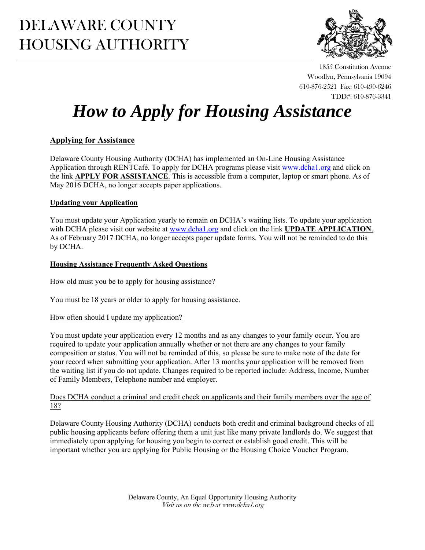## DELAWARE COUNTY HOUSING AUTHORITY



1855 Constitution Avenue Woodlyn, Pennsylvania 19094 610-876-2521 Fax: 610-490-6246 TDD#: 610-876-3341

# *How to Apply for Housing Assistance*

## **Applying for Assistance**

Delaware County Housing Authority (DCHA) has implemented an On-Line Housing Assistance Application through RENTCafé. To apply for DCHA programs please visit www.dcha1.org and click on the link **APPLY FOR ASSISTANCE**. This is accessible from a computer, laptop or smart phone. As of May 2016 DCHA, no longer accepts paper applications.

## **Updating your Application**

You must update your Application yearly to remain on DCHA's waiting lists. To update your application with DCHA please visit our website at www.dcha1.org and click on the link **UPDATE APPLICATION**. As of February 2017 DCHA, no longer accepts paper update forms. You will not be reminded to do this by DCHA.

#### **Housing Assistance Frequently Asked Questions**

How old must you be to apply for housing assistance?

You must be 18 years or older to apply for housing assistance.

## How often should I update my application?

You must update your application every 12 months and as any changes to your family occur. You are required to update your application annually whether or not there are any changes to your family composition or status. You will not be reminded of this, so please be sure to make note of the date for your record when submitting your application. After 13 months your application will be removed from the waiting list if you do not update. Changes required to be reported include: Address, Income, Number of Family Members, Telephone number and employer.

#### Does DCHA conduct a criminal and credit check on applicants and their family members over the age of 18?

Delaware County Housing Authority (DCHA) conducts both credit and criminal background checks of all public housing applicants before offering them a unit just like many private landlords do. We suggest that immediately upon applying for housing you begin to correct or establish good credit. This will be important whether you are applying for Public Housing or the Housing Choice Voucher Program.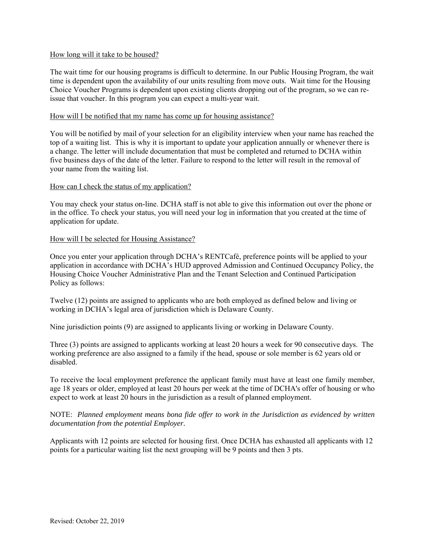#### How long will it take to be housed?

The wait time for our housing programs is difficult to determine. In our Public Housing Program, the wait time is dependent upon the availability of our units resulting from move outs. Wait time for the Housing Choice Voucher Programs is dependent upon existing clients dropping out of the program, so we can reissue that voucher. In this program you can expect a multi-year wait.

#### How will I be notified that my name has come up for housing assistance?

You will be notified by mail of your selection for an eligibility interview when your name has reached the top of a waiting list. This is why it is important to update your application annually or whenever there is a change. The letter will include documentation that must be completed and returned to DCHA within five business days of the date of the letter. Failure to respond to the letter will result in the removal of your name from the waiting list.

#### How can I check the status of my application?

You may check your status on-line. DCHA staff is not able to give this information out over the phone or in the office. To check your status, you will need your log in information that you created at the time of application for update.

#### How will I be selected for Housing Assistance?

Once you enter your application through DCHA's RENTCafé, preference points will be applied to your application in accordance with DCHA's HUD approved Admission and Continued Occupancy Policy, the Housing Choice Voucher Administrative Plan and the Tenant Selection and Continued Participation Policy as follows:

Twelve (12) points are assigned to applicants who are both employed as defined below and living or working in DCHA's legal area of jurisdiction which is Delaware County.

Nine jurisdiction points (9) are assigned to applicants living or working in Delaware County.

Three (3) points are assigned to applicants working at least 20 hours a week for 90 consecutive days. The working preference are also assigned to a family if the head, spouse or sole member is 62 years old or disabled.

To receive the local employment preference the applicant family must have at least one family member, age 18 years or older, employed at least 20 hours per week at the time of DCHA's offer of housing or who expect to work at least 20 hours in the jurisdiction as a result of planned employment.

NOTE: *Planned employment means bona fide offer to work in the Jurisdiction as evidenced by written documentation from the potential Employer.* 

Applicants with 12 points are selected for housing first. Once DCHA has exhausted all applicants with 12 points for a particular waiting list the next grouping will be 9 points and then 3 pts.